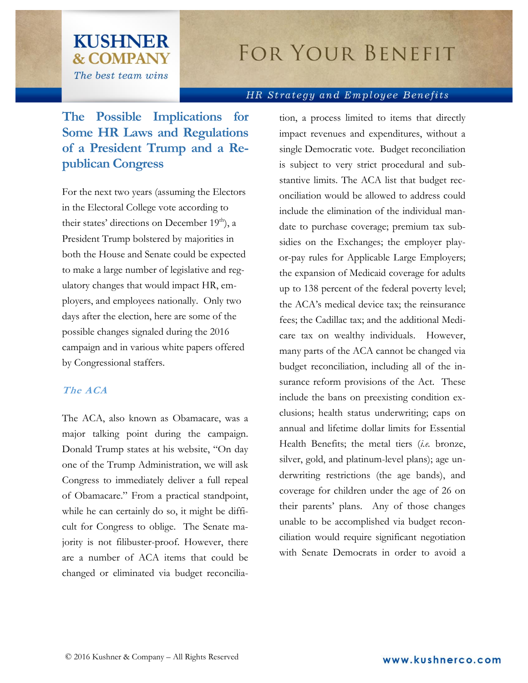# **FOR YOUR BENEFIT**

#### HR Strategy and Employee Benefits

# **The Possible Implications for Some HR Laws and Regulations of a President Trump and a Republican Congress**

**KUSHNER** 

**& COMPANY** 

The best team wins

For the next two years (assuming the Electors in the Electoral College vote according to their states' directions on December 19<sup>th</sup>), a President Trump bolstered by majorities in both the House and Senate could be expected to make a large number of legislative and regulatory changes that would impact HR, employers, and employees nationally. Only two days after the election, here are some of the possible changes signaled during the 2016 campaign and in various white papers offered by Congressional staffers.

### **The ACA**

The ACA, also known as Obamacare, was a major talking point during the campaign. Donald Trump states at his website, "On day one of the Trump Administration, we will ask Congress to immediately deliver a full repeal of Obamacare." From a practical standpoint, while he can certainly do so, it might be difficult for Congress to oblige. The Senate majority is not filibuster-proof. However, there are a number of ACA items that could be changed or eliminated via budget reconciliation, a process limited to items that directly impact revenues and expenditures, without a single Democratic vote. Budget reconciliation is subject to very strict procedural and substantive limits. The ACA list that budget reconciliation would be allowed to address could include the elimination of the individual mandate to purchase coverage; premium tax subsidies on the Exchanges; the employer playor-pay rules for Applicable Large Employers; the expansion of Medicaid coverage for adults up to 138 percent of the federal poverty level; the ACA's medical device tax; the reinsurance fees; the Cadillac tax; and the additional Medicare tax on wealthy individuals. However, many parts of the ACA cannot be changed via budget reconciliation, including all of the insurance reform provisions of the Act. These include the bans on preexisting condition exclusions; health status underwriting; caps on annual and lifetime dollar limits for Essential Health Benefits; the metal tiers (*i.e.* bronze, silver, gold, and platinum-level plans); age underwriting restrictions (the age bands), and coverage for children under the age of 26 on their parents' plans. Any of those changes unable to be accomplished via budget reconciliation would require significant negotiation with Senate Democrats in order to avoid a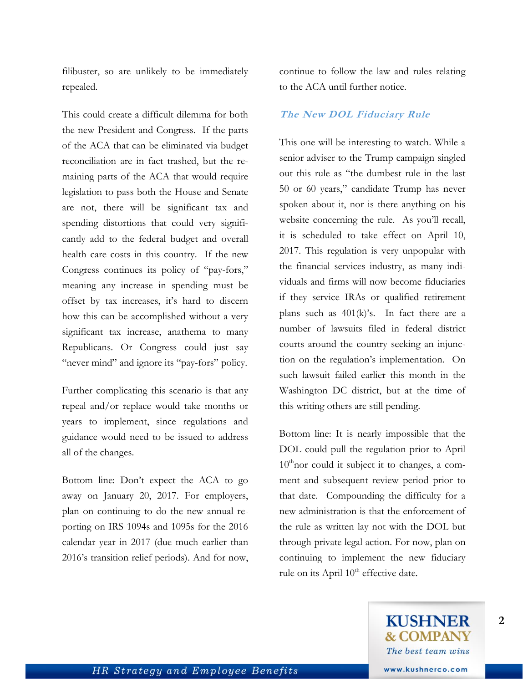filibuster, so are unlikely to be immediately repealed.

This could create a difficult dilemma for both the new President and Congress. If the parts of the ACA that can be eliminated via budget reconciliation are in fact trashed, but the remaining parts of the ACA that would require legislation to pass both the House and Senate are not, there will be significant tax and spending distortions that could very significantly add to the federal budget and overall health care costs in this country. If the new Congress continues its policy of "pay-fors," meaning any increase in spending must be offset by tax increases, it's hard to discern how this can be accomplished without a very significant tax increase, anathema to many Republicans. Or Congress could just say "never mind" and ignore its "pay-fors" policy.

Further complicating this scenario is that any repeal and/or replace would take months or years to implement, since regulations and guidance would need to be issued to address all of the changes.

Bottom line: Don't expect the ACA to go away on January 20, 2017. For employers, plan on continuing to do the new annual reporting on IRS 1094s and 1095s for the 2016 calendar year in 2017 (due much earlier than 2016's transition relief periods). And for now, continue to follow the law and rules relating to the ACA until further notice.

#### **The New DOL Fiduciary Rule**

This one will be interesting to watch. While a senior adviser to the Trump campaign singled out this rule as "the dumbest rule in the last 50 or 60 years," candidate Trump has never spoken about it, nor is there anything on his website concerning the rule. As you'll recall, it is scheduled to take effect on April 10, 2017. This regulation is very unpopular with the financial services industry, as many individuals and firms will now become fiduciaries if they service IRAs or qualified retirement plans such as 401(k)'s. In fact there are a number of lawsuits filed in federal district courts around the country seeking an injunction on the regulation's implementation. On such lawsuit failed earlier this month in the Washington DC district, but at the time of this writing others are still pending.

Bottom line: It is nearly impossible that the DOL could pull the regulation prior to April  $10^{\text{th}}$ nor could it subject it to changes, a comment and subsequent review period prior to that date. Compounding the difficulty for a new administration is that the enforcement of the rule as written lay not with the DOL but through private legal action. For now, plan on continuing to implement the new fiduciary rule on its April  $10^{th}$  effective date.

**2**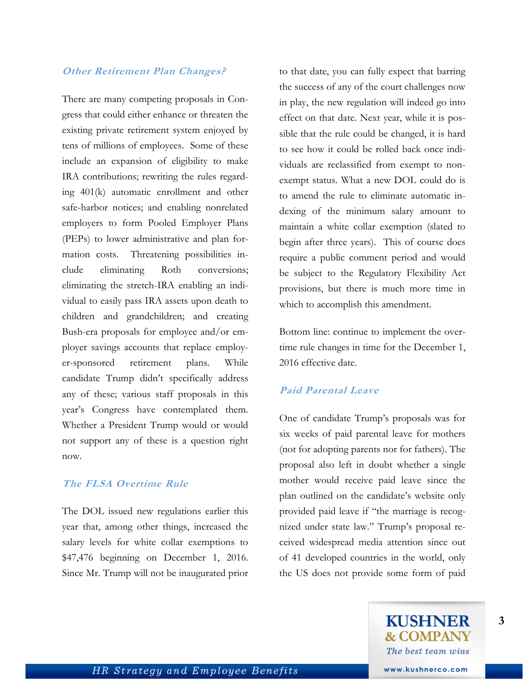# **Other Retirement Plan Changes?**

There are many competing proposals in Congress that could either enhance or threaten the existing private retirement system enjoyed by tens of millions of employees. Some of these include an expansion of eligibility to make IRA contributions; rewriting the rules regarding 401(k) automatic enrollment and other safe-harbor notices; and enabling nonrelated employers to form Pooled Employer Plans (PEPs) to lower administrative and plan formation costs. Threatening possibilities include eliminating Roth conversions; eliminating the stretch-IRA enabling an individual to easily pass IRA assets upon death to children and grandchildren; and creating Bush-era proposals for employee and/or employer savings accounts that replace employer-sponsored retirement plans. While candidate Trump didn't specifically address any of these; various staff proposals in this year's Congress have contemplated them. Whether a President Trump would or would not support any of these is a question right now.

#### **The FLSA Overtime Rule**

The DOL issued new regulations earlier this year that, among other things, increased the salary levels for white collar exemptions to \$47,476 beginning on December 1, 2016. Since Mr. Trump will not be inaugurated prior to that date, you can fully expect that barring the success of any of the court challenges now in play, the new regulation will indeed go into effect on that date. Next year, while it is possible that the rule could be changed, it is hard to see how it could be rolled back once individuals are reclassified from exempt to nonexempt status. What a new DOL could do is to amend the rule to eliminate automatic indexing of the minimum salary amount to maintain a white collar exemption (slated to begin after three years). This of course does require a public comment period and would be subject to the Regulatory Flexibility Act provisions, but there is much more time in which to accomplish this amendment.

Bottom line: continue to implement the overtime rule changes in time for the December 1, 2016 effective date.

## **Paid Parental Leave**

One of candidate Trump's proposals was for six weeks of paid parental leave for mothers (not for adopting parents nor for fathers). The proposal also left in doubt whether a single mother would receive paid leave since the plan outlined on the candidate's website only provided paid leave if "the marriage is recognized under state law." Trump's proposal received widespread media attention since out of 41 developed countries in the world, only the US does not provide some form of paid

**3**